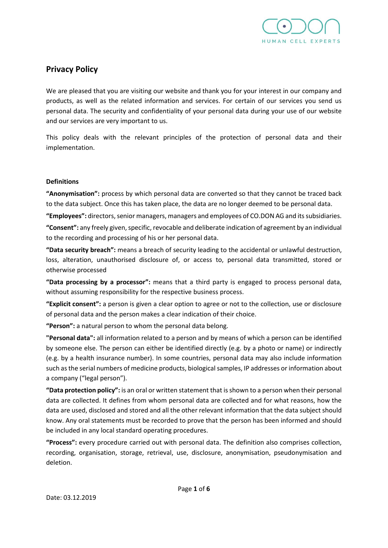

# **Privacy Policy**

We are pleased that you are visiting our website and thank you for your interest in our company and products, as well as the related information and services. For certain of our services you send us personal data. The security and confidentiality of your personal data during your use of our website and our services are very important to us.

This policy deals with the relevant principles of the protection of personal data and their implementation.

#### **Definitions**

**"Anonymisation":** process by which personal data are converted so that they cannot be traced back to the data subject. Once this has taken place, the data are no longer deemed to be personal data.

**"Employees":** directors, senior managers, managers and employees of CO.DON AG and its subsidiaries.

**"Consent":** any freely given, specific, revocable and deliberate indication of agreement by an individual to the recording and processing of his or her personal data.

**"Data security breach":** means a breach of security leading to the accidental or unlawful destruction, loss, alteration, unauthorised disclosure of, or access to, personal data transmitted, stored or otherwise processed

**"Data processing by a processor":** means that a third party is engaged to process personal data, without assuming responsibility for the respective business process.

**"Explicit consent":** a person is given a clear option to agree or not to the collection, use or disclosure of personal data and the person makes a clear indication of their choice.

**"Person":** a natural person to whom the personal data belong.

**"Personal data":** all information related to a person and by means of which a person can be identified by someone else. The person can either be identified directly (e.g. by a photo or name) or indirectly (e.g. by a health insurance number). In some countries, personal data may also include information such as the serial numbers of medicine products, biological samples, IP addresses or information about a company ("legal person").

**"Data protection policy":** is an oral or written statement that is shown to a person when their personal data are collected. It defines from whom personal data are collected and for what reasons, how the data are used, disclosed and stored and all the other relevant information that the data subject should know. Any oral statements must be recorded to prove that the person has been informed and should be included in any local standard operating procedures.

**"Process":** every procedure carried out with personal data. The definition also comprises collection, recording, organisation, storage, retrieval, use, disclosure, anonymisation, pseudonymisation and deletion.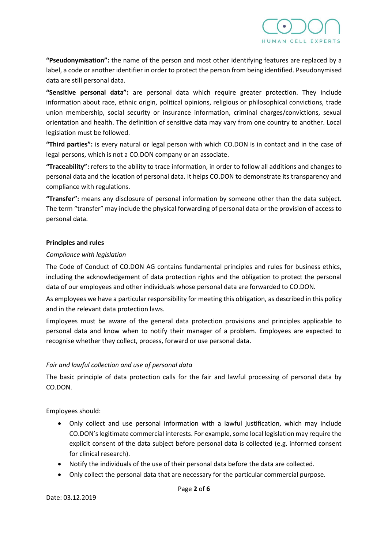

**"Pseudonymisation":** the name of the person and most other identifying features are replaced by a label, a code or another identifier in order to protect the person from being identified. Pseudonymised data are still personal data.

**"Sensitive personal data":** are personal data which require greater protection. They include information about race, ethnic origin, political opinions, religious or philosophical convictions, trade union membership, social security or insurance information, criminal charges/convictions, sexual orientation and health. The definition of sensitive data may vary from one country to another. Local legislation must be followed.

**"Third parties":** is every natural or legal person with which CO.DON is in contact and in the case of legal persons, which is not a CO.DON company or an associate.

**"Traceability":** refers to the ability to trace information, in order to follow all additions and changes to personal data and the location of personal data. It helps CO.DON to demonstrate its transparency and compliance with regulations.

**"Transfer":** means any disclosure of personal information by someone other than the data subject. The term "transfer" may include the physical forwarding of personal data or the provision of access to personal data.

#### **Principles and rules**

#### *Compliance with legislation*

The Code of Conduct of CO.DON AG contains fundamental principles and rules for business ethics, including the acknowledgement of data protection rights and the obligation to protect the personal data of our employees and other individuals whose personal data are forwarded to CO.DON.

As employees we have a particular responsibility for meeting this obligation, as described in this policy and in the relevant data protection laws.

Employees must be aware of the general data protection provisions and principles applicable to personal data and know when to notify their manager of a problem. Employees are expected to recognise whether they collect, process, forward or use personal data.

## *Fair and lawful collection and use of personal data*

The basic principle of data protection calls for the fair and lawful processing of personal data by CO.DON.

Employees should:

- Only collect and use personal information with a lawful justification, which may include CO.DON's legitimate commercial interests. For example, some local legislation may require the explicit consent of the data subject before personal data is collected (e.g. informed consent for clinical research).
- Notify the individuals of the use of their personal data before the data are collected.
- Only collect the personal data that are necessary for the particular commercial purpose.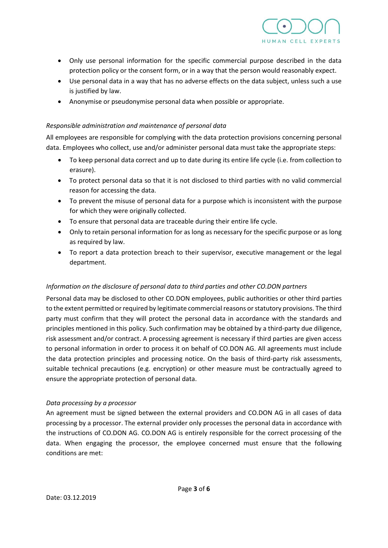

- Only use personal information for the specific commercial purpose described in the data protection policy or the consent form, or in a way that the person would reasonably expect.
- Use personal data in a way that has no adverse effects on the data subject, unless such a use is justified by law.
- Anonymise or pseudonymise personal data when possible or appropriate.

#### *Responsible administration and maintenance of personal data*

All employees are responsible for complying with the data protection provisions concerning personal data. Employees who collect, use and/or administer personal data must take the appropriate steps:

- To keep personal data correct and up to date during its entire life cycle (i.e. from collection to erasure).
- To protect personal data so that it is not disclosed to third parties with no valid commercial reason for accessing the data.
- To prevent the misuse of personal data for a purpose which is inconsistent with the purpose for which they were originally collected.
- To ensure that personal data are traceable during their entire life cycle.
- Only to retain personal information for as long as necessary for the specific purpose or as long as required by law.
- To report a data protection breach to their supervisor, executive management or the legal department.

## *Information on the disclosure of personal data to third parties and other CO.DON partners*

Personal data may be disclosed to other CO.DON employees, public authorities or other third parties to the extent permitted or required by legitimate commercial reasons or statutory provisions. The third party must confirm that they will protect the personal data in accordance with the standards and principles mentioned in this policy. Such confirmation may be obtained by a third-party due diligence, risk assessment and/or contract. A processing agreement is necessary if third parties are given access to personal information in order to process it on behalf of CO.DON AG. All agreements must include the data protection principles and processing notice. On the basis of third-party risk assessments, suitable technical precautions (e.g. encryption) or other measure must be contractually agreed to ensure the appropriate protection of personal data.

#### *Data processing by a processor*

An agreement must be signed between the external providers and CO.DON AG in all cases of data processing by a processor. The external provider only processes the personal data in accordance with the instructions of CO.DON AG. CO.DON AG is entirely responsible for the correct processing of the data. When engaging the processor, the employee concerned must ensure that the following conditions are met: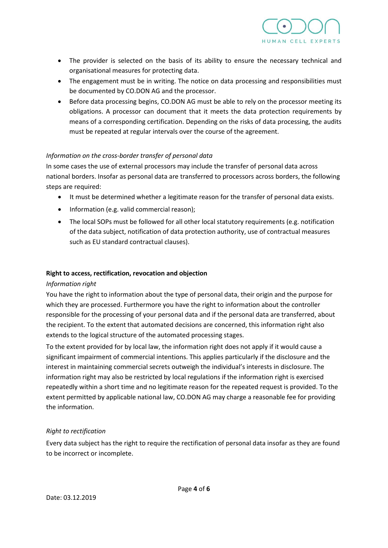

- The provider is selected on the basis of its ability to ensure the necessary technical and organisational measures for protecting data.
- The engagement must be in writing. The notice on data processing and responsibilities must be documented by CO.DON AG and the processor.
- Before data processing begins, CO.DON AG must be able to rely on the processor meeting its obligations. A processor can document that it meets the data protection requirements by means of a corresponding certification. Depending on the risks of data processing, the audits must be repeated at regular intervals over the course of the agreement.

## *Information on the cross-border transfer of personal data*

In some cases the use of external processors may include the transfer of personal data across national borders. Insofar as personal data are transferred to processors across borders, the following steps are required:

- It must be determined whether a legitimate reason for the transfer of personal data exists.
- Information (e.g. valid commercial reason);
- The local SOPs must be followed for all other local statutory requirements (e.g. notification of the data subject, notification of data protection authority, use of contractual measures such as EU standard contractual clauses).

## **Right to access, rectification, revocation and objection**

## *Information right*

You have the right to information about the type of personal data, their origin and the purpose for which they are processed. Furthermore you have the right to information about the controller responsible for the processing of your personal data and if the personal data are transferred, about the recipient. To the extent that automated decisions are concerned, this information right also extends to the logical structure of the automated processing stages.

To the extent provided for by local law, the information right does not apply if it would cause a significant impairment of commercial intentions. This applies particularly if the disclosure and the interest in maintaining commercial secrets outweigh the individual's interests in disclosure. The information right may also be restricted by local regulations if the information right is exercised repeatedly within a short time and no legitimate reason for the repeated request is provided. To the extent permitted by applicable national law, CO.DON AG may charge a reasonable fee for providing the information.

## *Right to rectification*

Every data subject has the right to require the rectification of personal data insofar as they are found to be incorrect or incomplete.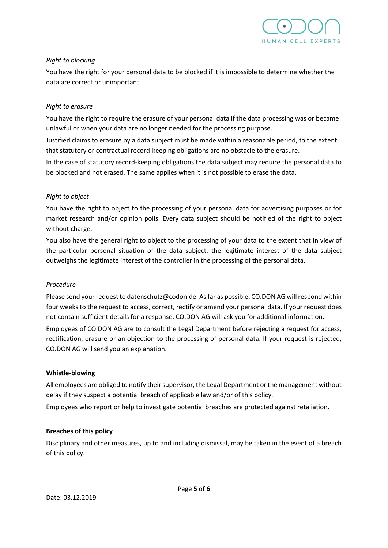

## *Right to blocking*

You have the right for your personal data to be blocked if it is impossible to determine whether the data are correct or unimportant.

## *Right to erasure*

You have the right to require the erasure of your personal data if the data processing was or became unlawful or when your data are no longer needed for the processing purpose.

Justified claims to erasure by a data subject must be made within a reasonable period, to the extent that statutory or contractual record-keeping obligations are no obstacle to the erasure.

In the case of statutory record-keeping obligations the data subject may require the personal data to be blocked and not erased. The same applies when it is not possible to erase the data.

# *Right to object*

You have the right to object to the processing of your personal data for advertising purposes or for market research and/or opinion polls. Every data subject should be notified of the right to object without charge.

You also have the general right to object to the processing of your data to the extent that in view of the particular personal situation of the data subject, the legitimate interest of the data subject outweighs the legitimate interest of the controller in the processing of the personal data.

## *Procedure*

Please send your request to datenschutz@codon.de. As far as possible, CO.DON AG will respond within four weeks to the request to access, correct, rectify or amend your personal data. If your request does not contain sufficient details for a response, CO.DON AG will ask you for additional information.

Employees of CO.DON AG are to consult the Legal Department before rejecting a request for access, rectification, erasure or an objection to the processing of personal data. If your request is rejected, CO.DON AG will send you an explanation.

## **Whistle-blowing**

All employees are obliged to notify their supervisor, the Legal Department or the management without delay if they suspect a potential breach of applicable law and/or of this policy.

Employees who report or help to investigate potential breaches are protected against retaliation.

## **Breaches of this policy**

Disciplinary and other measures, up to and including dismissal, may be taken in the event of a breach of this policy.